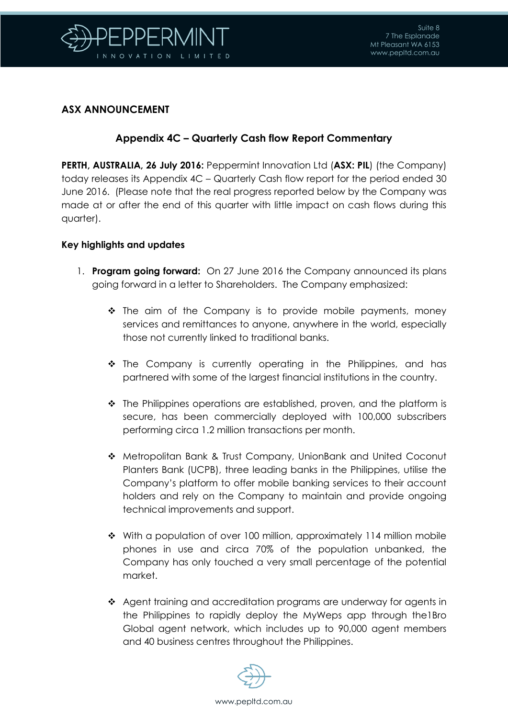

## **ASX ANNOUNCEMENT**

## **Appendix 4C – Quarterly Cash flow Report Commentary**

**PERTH, AUSTRALIA, 26 July 2016:** Peppermint Innovation Ltd (**ASX: PIL**) (the Company) today releases its Appendix 4C – Quarterly Cash flow report for the period ended 30 June 2016. (Please note that the real progress reported below by the Company was made at or after the end of this quarter with little impact on cash flows during this quarter).

### **Key highlights and updates**

- 1. **Program going forward:** On 27 June 2016 the Company announced its plans going forward in a letter to Shareholders. The Company emphasized:
	- $\cdot \cdot$  The aim of the Company is to provide mobile payments, money services and remittances to anyone, anywhere in the world, especially those not currently linked to traditional banks.
	- The Company is currently operating in the Philippines, and has partnered with some of the largest financial institutions in the country.
	- $\div$  The Philippines operations are established, proven, and the platform is secure, has been commercially deployed with 100,000 subscribers performing circa 1.2 million transactions per month.
	- Metropolitan Bank & Trust Company, UnionBank and United Coconut Planters Bank (UCPB), three leading banks in the Philippines, utilise the Company's platform to offer mobile banking services to their account holders and rely on the Company to maintain and provide ongoing technical improvements and support.
	- $\div$  With a population of over 100 million, approximately 114 million mobile phones in use and circa 70% of the population unbanked, the Company has only touched a very small percentage of the potential market.
	- Agent training and accreditation programs are underway for agents in the Philippines to rapidly deploy the MyWeps app through the1Bro Global agent network, which includes up to 90,000 agent members and 40 business centres throughout the Philippines.

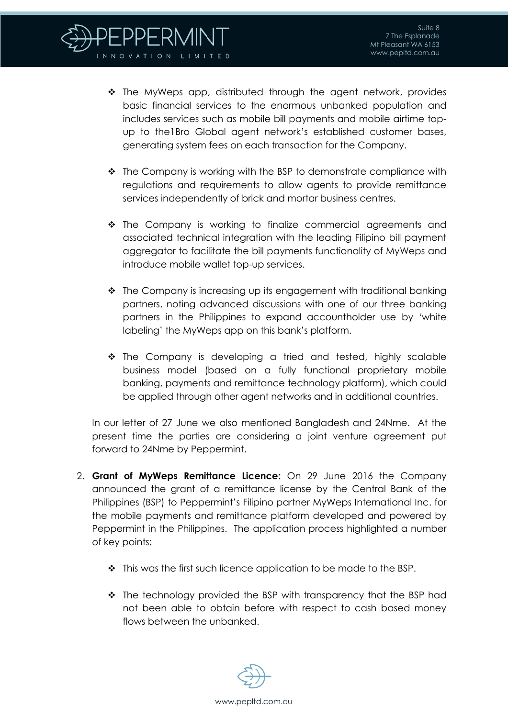- $\cdot \cdot$  The MyWeps app, distributed through the agent network, provides basic financial services to the enormous unbanked population and includes services such as mobile bill payments and mobile airtime topup to the1Bro Global agent network's established customer bases, generating system fees on each transaction for the Company.
- $\cdot \cdot$  The Company is working with the BSP to demonstrate compliance with regulations and requirements to allow agents to provide remittance services independently of brick and mortar business centres.
- $\cdot \cdot$  The Company is working to finalize commercial agreements and associated technical integration with the leading Filipino bill payment aggregator to facilitate the bill payments functionality of MyWeps and introduce mobile wallet top-up services.
- $\cdot$  The Company is increasing up its engagement with traditional banking partners, noting advanced discussions with one of our three banking partners in the Philippines to expand accountholder use by 'white labeling' the MyWeps app on this bank's platform.
- $\cdot$  The Company is developing a tried and tested, highly scalable business model (based on a fully functional proprietary mobile banking, payments and remittance technology platform), which could be applied through other agent networks and in additional countries.

In our letter of 27 June we also mentioned Bangladesh and 24Nme. At the present time the parties are considering a joint venture agreement put forward to 24Nme by Peppermint.

- 2. **Grant of MyWeps Remittance Licence:** On 29 June 2016 the Company announced the grant of a remittance license by the Central Bank of the Philippines (BSP) to Peppermint's Filipino partner MyWeps International Inc. for the mobile payments and remittance platform developed and powered by Peppermint in the Philippines. The application process highlighted a number of key points:
	- $\cdot \cdot$  This was the first such licence application to be made to the BSP.
	- The technology provided the BSP with transparency that the BSP had not been able to obtain before with respect to cash based money flows between the unbanked.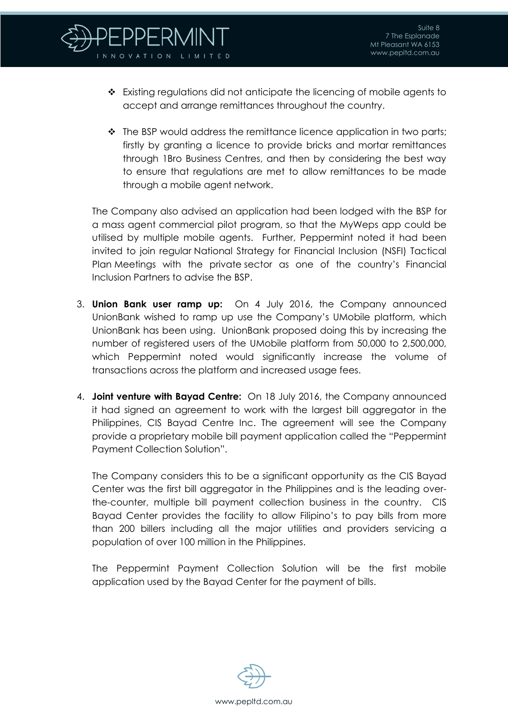

- Existing regulations did not anticipate the licencing of mobile agents to accept and arrange remittances throughout the country.
- $\cdot \cdot$  The BSP would address the remittance licence application in two parts; firstly by granting a licence to provide bricks and mortar remittances through 1Bro Business Centres, and then by considering the best way to ensure that regulations are met to allow remittances to be made through a mobile agent network.

The Company also advised an application had been lodged with the BSP for a mass agent commercial pilot program, so that the MyWeps app could be utilised by multiple mobile agents. Further, Peppermint noted it had been invited to join regular National Strategy for Financial Inclusion (NSFI) Tactical Plan Meetings with the private sector as one of the country's Financial Inclusion Partners to advise the BSP.

- 3. **Union Bank user ramp up:** On 4 July 2016, the Company announced UnionBank wished to ramp up use the Company's UMobile platform, which UnionBank has been using. UnionBank proposed doing this by increasing the number of registered users of the UMobile platform from 50,000 to 2,500,000, which Peppermint noted would significantly increase the volume of transactions across the platform and increased usage fees.
- 4. **Joint venture with Bayad Centre:** On 18 July 2016, the Company announced it had signed an agreement to work with the largest bill aggregator in the Philippines, CIS Bayad Centre Inc. The agreement will see the Company provide a proprietary mobile bill payment application called the "Peppermint Payment Collection Solution".

The Company considers this to be a significant opportunity as the CIS Bayad Center was the first bill aggregator in the Philippines and is the leading overthe-counter, multiple bill payment collection business in the country. CIS Bayad Center provides the facility to allow Filipino's to pay bills from more than 200 billers including all the major utilities and providers servicing a population of over 100 million in the Philippines.

The Peppermint Payment Collection Solution will be the first mobile application used by the Bayad Center for the payment of bills.

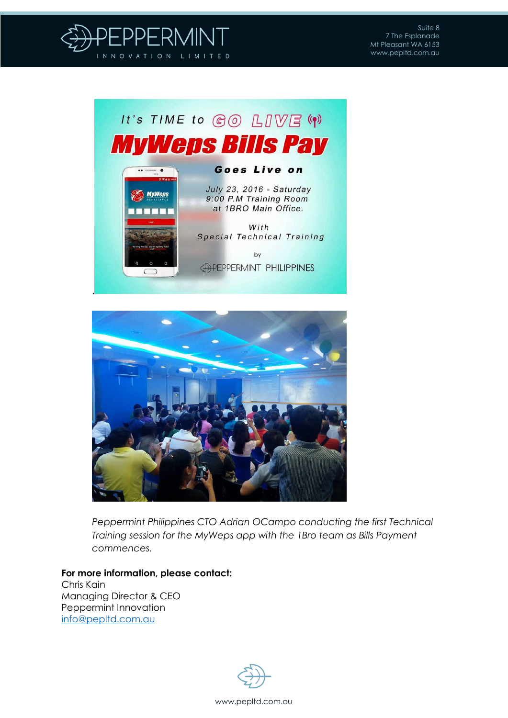





*Peppermint Philippines CTO Adrian OCampo conducting the first Technical Training session for the MyWeps app with the 1Bro team as Bills Payment commences.*

**For more information, please contact:** Chris Kain Managing Director & CEO Peppermint Innovation [info@pepltd.com.au](mailto:info@pepltd.com.au)

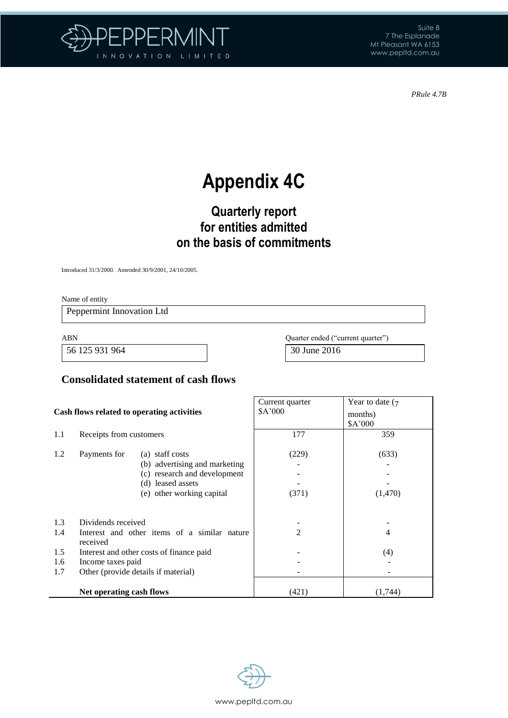

Suite 8 7 The Esplanade Mt Pleasant WA 6153 www.pepltd.com.au

*PRule 4.7B*

# **Appendix 4C**

## **Quarterly report for entities admitted on the basis of commitments**

Introduced 31/3/2000. Amended 30/9/2001, 24/10/2005.

Name of entity

Peppermint Innovation Ltd

56 125 931 964 30 June 2016

ABN Quarter ended ("current quarter")

## **Consolidated statement of cash flows**

| Cash flows related to operating activities |                                                                  | Current quarter<br>\$A'000 | Year to date $(7)$<br>months)<br>\$A'000 |
|--------------------------------------------|------------------------------------------------------------------|----------------------------|------------------------------------------|
| 1.1                                        | Receipts from customers                                          | 177                        | 359                                      |
| 1.2                                        | Payments for<br>(a) staff costs<br>(b) advertising and marketing | (229)                      | (633)                                    |
|                                            | (c) research and development<br>(d) leased assets                |                            |                                          |
|                                            | (e) other working capital                                        | (371)                      | (1,470)                                  |
| 1.3                                        | Dividends received                                               |                            |                                          |
| 1.4                                        | Interest and other items of a similar nature<br>received         | $\mathfrak{D}$             | 4                                        |
| 1.5                                        | Interest and other costs of finance paid                         |                            | (4)                                      |
| 1.6                                        | Income taxes paid                                                |                            |                                          |
| 1.7<br>Other (provide details if material) |                                                                  |                            |                                          |
|                                            | Net operating cash flows                                         | (421)                      | (1,744)                                  |

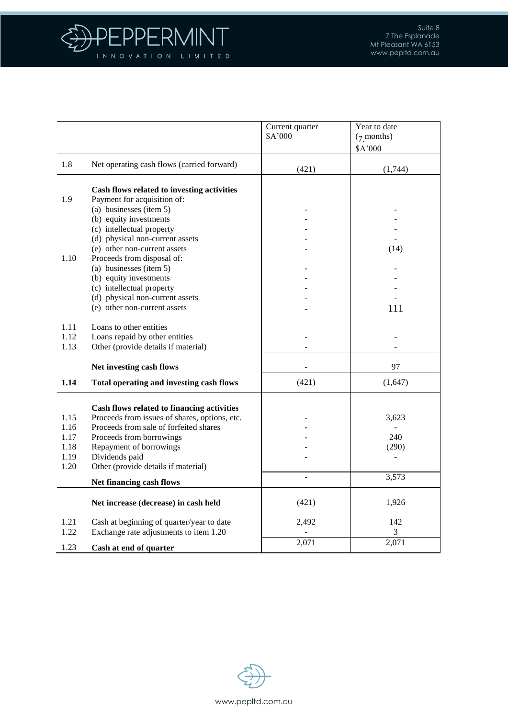

|              |                                                       | Current quarter<br>\$A'000 | Year to date<br>$(7$ months) |
|--------------|-------------------------------------------------------|----------------------------|------------------------------|
|              |                                                       |                            | \$A'000                      |
| 1.8          | Net operating cash flows (carried forward)            | (421)                      | (1,744)                      |
|              | Cash flows related to investing activities            |                            |                              |
| 1.9          | Payment for acquisition of:                           |                            |                              |
|              | (a) businesses (item 5)                               |                            |                              |
|              | (b) equity investments                                |                            |                              |
|              | (c) intellectual property                             |                            |                              |
|              | (d) physical non-current assets                       |                            |                              |
|              | (e) other non-current assets                          |                            | (14)                         |
| 1.10         | Proceeds from disposal of:                            |                            |                              |
|              | (a) businesses (item 5)                               |                            |                              |
|              | (b) equity investments                                |                            |                              |
|              | (c) intellectual property                             |                            |                              |
|              | (d) physical non-current assets                       |                            |                              |
|              | (e) other non-current assets                          |                            | 111                          |
| 1.11         | Loans to other entities                               |                            |                              |
| 1.12         | Loans repaid by other entities                        |                            |                              |
| 1.13         | Other (provide details if material)                   |                            |                              |
|              | Net investing cash flows                              |                            | 97                           |
| 1.14         | Total operating and investing cash flows              | (421)                      | (1,647)                      |
|              |                                                       |                            |                              |
|              | Cash flows related to financing activities            |                            |                              |
| 1.15         | Proceeds from issues of shares, options, etc.         |                            | 3,623                        |
| 1.16         | Proceeds from sale of forfeited shares                |                            |                              |
| 1.17         | Proceeds from borrowings                              |                            | 240                          |
| 1.18         | Repayment of borrowings                               |                            | (290)                        |
| 1.19<br>1.20 | Dividends paid<br>Other (provide details if material) |                            |                              |
|              |                                                       |                            | 3,573                        |
|              | Net financing cash flows                              |                            |                              |
|              | Net increase (decrease) in cash held                  | (421)                      | 1,926                        |
| 1.21         | Cash at beginning of quarter/year to date             | 2,492                      | 142                          |
| 1.22         | Exchange rate adjustments to item 1.20                |                            | 3                            |
|              |                                                       | 2,071                      | 2,071                        |
| 1.23         | Cash at end of quarter                                |                            |                              |

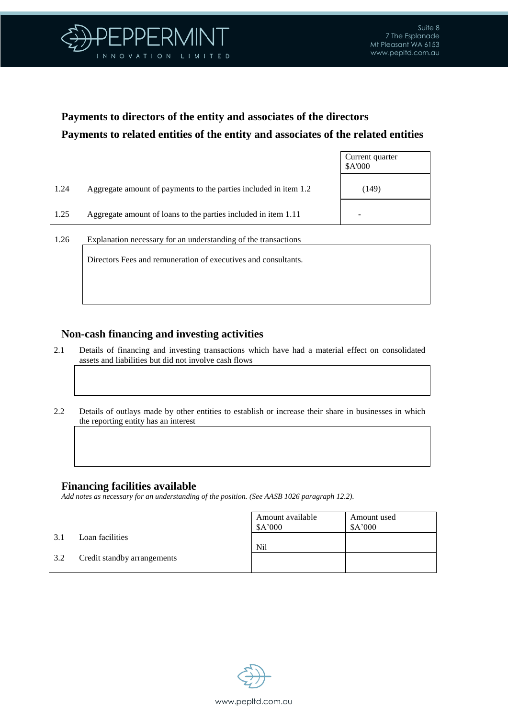

Current quarter

## **Payments to directors of the entity and associates of the directors Payments to related entities of the entity and associates of the related entities**

|      |                                                                  | \$A'000 |
|------|------------------------------------------------------------------|---------|
| 1.24 | Aggregate amount of payments to the parties included in item 1.2 | (149)   |
| 1.25 | Aggregate amount of loans to the parties included in item 1.11   |         |
| 1.26 | Explanation necessary for an understanding of the transactions   |         |

Directors Fees and remuneration of executives and consultants.

## **Non-cash financing and investing activities**

- 2.1 Details of financing and investing transactions which have had a material effect on consolidated assets and liabilities but did not involve cash flows
- 2.2 Details of outlays made by other entities to establish or increase their share in businesses in which the reporting entity has an interest

## **Financing facilities available**

*Add notes as necessary for an understanding of the position. (See AASB 1026 paragraph 12.2).*

|     |                             | Amount available<br>\$A'000 | Amount used<br>\$A'000 |
|-----|-----------------------------|-----------------------------|------------------------|
| 3.1 | Loan facilities             | N <sub>il</sub>             |                        |
| 3.2 | Credit standby arrangements |                             |                        |

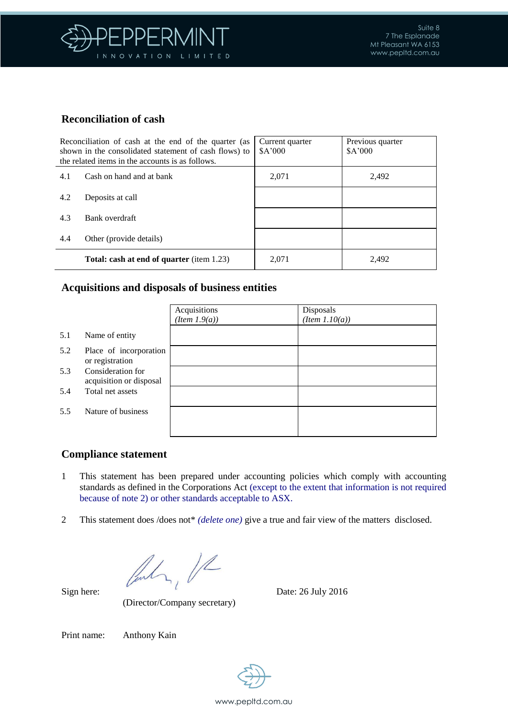

## **Reconciliation of cash**

| Reconciliation of cash at the end of the quarter (as<br>shown in the consolidated statement of cash flows) to<br>the related items in the accounts is as follows. |                                                  | Current quarter<br>A'000 | Previous quarter<br>A'000 |
|-------------------------------------------------------------------------------------------------------------------------------------------------------------------|--------------------------------------------------|--------------------------|---------------------------|
| 4.1                                                                                                                                                               | Cash on hand and at bank                         | 2,071                    | 2,492                     |
| 4.2                                                                                                                                                               | Deposits at call                                 |                          |                           |
| 4.3                                                                                                                                                               | Bank overdraft                                   |                          |                           |
| 4.4                                                                                                                                                               | Other (provide details)                          |                          |                           |
|                                                                                                                                                                   | <b>Total: cash at end of quarter</b> (item 1.23) | 2,071                    | 2,492                     |

### **Acquisitions and disposals of business entities**

|     |                                              | Acquisitions<br>$(Item\ 1.9(a))$ | Disposals<br>$(Item\ 1.10(a))$ |
|-----|----------------------------------------------|----------------------------------|--------------------------------|
| 5.1 | Name of entity                               |                                  |                                |
| 5.2 | Place of incorporation<br>or registration    |                                  |                                |
| 5.3 | Consideration for<br>acquisition or disposal |                                  |                                |
| 5.4 | Total net assets                             |                                  |                                |
| 5.5 | Nature of business                           |                                  |                                |
|     |                                              |                                  |                                |

## **Compliance statement**

- 1 This statement has been prepared under accounting policies which comply with accounting standards as defined in the Corporations Act (except to the extent that information is not required because of note 2) or other standards acceptable to ASX.
- 2 This statement does /does not\* *(delete one)* give a true and fair view of the matters disclosed.

Sign here:  $\sqrt{\frac{1}{2}}$  Date: 26 July 2016

(Director/Company secretary)

Print name: Anthony Kain